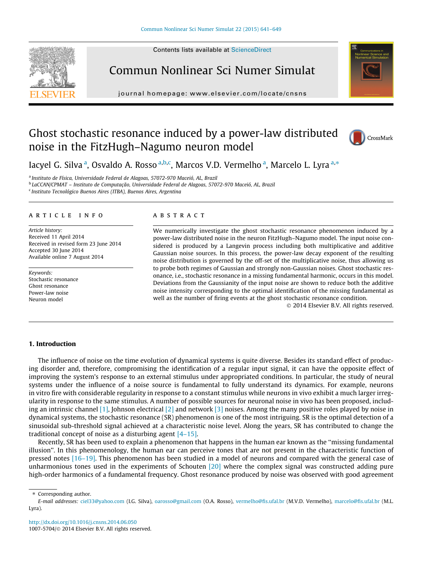Contents lists available at [ScienceDirect](http://www.sciencedirect.com/science/journal/10075704)





journal homepage: [www.elsevier.com/locate/cnsns](http://www.elsevier.com/locate/cnsns)

## Ghost stochastic resonance induced by a power-law distributed noise in the FitzHugh–Nagumo neuron model



Iacyel G. Silva <sup>a</sup>, Osvaldo A. Rosso <sup>a,b,c</sup>, Marcos V.D. Vermelho <sup>a</sup>, Marcelo L. Lyra <sup>a,</sup>\*

<sup>a</sup> Instituto de Física, Universidade Federal de Alagoas, 57072-970 Maceió, AL, Brazil

<sup>b</sup> LaCCAN/CPMAT – Instituto de Computação, Universidade Federal de Alagoas, 57072-970 Maceió, AL, Brazil

 $c$  Instituto Tecnológico Buenos Aires (ITBA), Buenos Aires, Argentina

### article info

Article history: Received 11 April 2014 Received in revised form 23 June 2014 Accepted 30 June 2014 Available online 7 August 2014

Keywords: Stochastic resonance Ghost resonance Power-law noise Neuron model

#### **ABSTRACT**

We numerically investigate the ghost stochastic resonance phenomenon induced by a power-law distributed noise in the neuron FitzHugh–Nagumo model. The input noise considered is produced by a Langevin process including both multiplicative and additive Gaussian noise sources. In this process, the power-law decay exponent of the resulting noise distribution is governed by the off-set of the multiplicative noise, thus allowing us to probe both regimes of Gaussian and strongly non-Gaussian noises. Ghost stochastic resonance, i.e., stochastic resonance in a missing fundamental harmonic, occurs in this model. Deviations from the Gaussianity of the input noise are shown to reduce both the additive noise intensity corresponding to the optimal identification of the missing fundamental as well as the number of firing events at the ghost stochastic resonance condition.

- 2014 Elsevier B.V. All rights reserved.

#### 1. Introduction

The influence of noise on the time evolution of dynamical systems is quite diverse. Besides its standard effect of producing disorder and, therefore, compromising the identification of a regular input signal, it can have the opposite effect of improving the system's response to an external stimulus under appropriated conditions. In particular, the study of neural systems under the influence of a noise source is fundamental to fully understand its dynamics. For example, neurons in vitro fire with considerable regularity in response to a constant stimulus while neurons in vivo exhibit a much larger irregularity in response to the same stimulus. A number of possible sources for neuronal noise in vivo has been proposed, includ-ing an intrinsic channel [\[1\]](#page--1-0), Johnson electrical [\[2\]](#page--1-0) and network [\[3\]](#page--1-0) noises. Among the many positive roles played by noise in dynamical systems, the stochastic resonance (SR) phenomenon is one of the most intriguing. SR is the optimal detection of a sinusoidal sub-threshold signal achieved at a characteristic noise level. Along the years, SR has contributed to change the traditional concept of noise as a disturbing agent  $[4-15]$ .

Recently, SR has been used to explain a phenomenon that happens in the human ear known as the ''missing fundamental illusion''. In this phenomenology, the human ear can perceive tones that are not present in the characteristic function of pressed notes [\[16–19\].](#page--1-0) This phenomenon has been studied in a model of neurons and compared with the general case of unharmonious tones used in the experiments of Schouten [\[20\]](#page--1-0) where the complex signal was constructed adding pure high-order harmonics of a fundamental frequency. Ghost resonance produced by noise was observed with good agreement

<http://dx.doi.org/10.1016/j.cnsns.2014.06.050> 1007-5704/© 2014 Elsevier B.V. All rights reserved.

<sup>⇑</sup> Corresponding author.

E-mail addresses: [ciel33@yahoo.com](mailto:ciel33@yahoo.com) (I.G. Silva), [oarosso@gmail.com](mailto:oarosso@gmail.com) (O.A. Rosso), [vermelho@fis.ufal.br](mailto:vermelho@fis.ufal.br) (M.V.D. Vermelho), [marcelo@fis.ufal.br](mailto:marcelo@fis.ufal.br) (M.L. Lyra).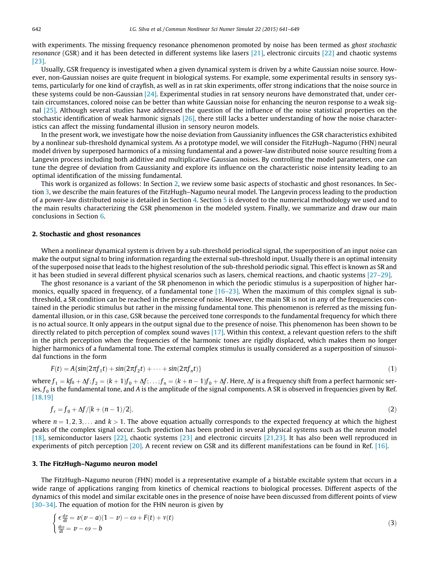with experiments. The missing frequency resonance phenomenon promoted by noise has been termed as ghost stochastic resonance (GSR) and it has been detected in different systems like lasers [\[21\],](#page--1-0) electronic circuits [\[22\]](#page--1-0) and chaotic systems [\[23\].](#page--1-0)

Usually, GSR frequency is investigated when a given dynamical system is driven by a white Gaussian noise source. However, non-Gaussian noises are quite frequent in biological systems. For example, some experimental results in sensory systems, particularly for one kind of crayfish, as well as in rat skin experiments, offer strong indications that the noise source in these systems could be non-Gaussian [\[24\]](#page--1-0). Experimental studies in rat sensory neurons have demonstrated that, under certain circumstances, colored noise can be better than white Gaussian noise for enhancing the neuron response to a weak signal [\[25\]](#page--1-0). Although several studies have addressed the question of the influence of the noise statistical properties on the stochastic identification of weak harmonic signals [\[26\],](#page--1-0) there still lacks a better understanding of how the noise characteristics can affect the missing fundamental illusion in sensory neuron models.

In the present work, we investigate how the noise deviation from Gaussianity influences the GSR characteristics exhibited by a nonlinear sub-threshold dynamical system. As a prototype model, we will consider the FitzHugh–Nagumo (FHN) neural model driven by superposed harmonics of a missing fundamental and a power-law distributed noise source resulting from a Langevin process including both additive and multiplicative Gaussian noises. By controlling the model parameters, one can tune the degree of deviation from Gaussianity and explore its influence on the characteristic noise intensity leading to an optimal identification of the missing fundamental.

This work is organized as follows: In Section 2, we review some basic aspects of stochastic and ghost resonances. In Section 3, we describe the main features of the FitzHugh–Nagumo neural model. The Langevin process leading to the production of a power-law distributed noise is detailed in Section [4.](#page--1-0) Section [5](#page--1-0) is devoted to the numerical methodology we used and to the main results characterizing the GSR phenomenon in the modeled system. Finally, we summarize and draw our main conclusions in Section [6.](#page--1-0)

#### 2. Stochastic and ghost resonances

When a nonlinear dynamical system is driven by a sub-threshold periodical signal, the superposition of an input noise can make the output signal to bring information regarding the external sub-threshold input. Usually there is an optimal intensity of the superposed noise that leads to the highest resolution of the sub-threshold periodic signal. This effect is known as SR and it has been studied in several different physical scenarios such as lasers, chemical reactions, and chaotic systems [\[27–29\]](#page--1-0).

The ghost resonance is a variant of the SR phenomenon in which the periodic stimulus is a superposition of higher har-monics, equally spaced in frequency, of a fundamental tone [\[16–23\]](#page--1-0). When the maximum of this complex signal is subthreshold, a SR condition can be reached in the presence of noise. However, the main SR is not in any of the frequencies contained in the periodic stimulus but rather in the missing fundamental tone. This phenomenon is referred as the missing fundamental illusion, or in this case, GSR because the perceived tone corresponds to the fundamental frequency for which there is no actual source. It only appears in the output signal due to the presence of noise. This phenomenon has been shown to be directly related to pitch perception of complex sound waves [\[17\].](#page--1-0) Within this context, a relevant question refers to the shift in the pitch perception when the frequencies of the harmonic tones are rigidly displaced, which makes them no longer higher harmonics of a fundamental tone. The external complex stimulus is usually considered as a superposition of sinusoidal functions in the form

$$
F(t) = A\{sin(2\pi f_1 t) + sin(2\pi f_2 t) + \dots + sin(2\pi f_n t)\}\
$$
\n(1)

where  $f_1 = kf_0 + \Delta f$ ;  $f_2 = (k+1)f_0 + \Delta f$ ; ...;  $f_n = (k+n-1)f_0 + \Delta f$ . Here,  $\Delta f$  is a frequency shift from a perfect harmonic series,  $f_0$  is the fundamental tone, and A is the amplitude of the signal components. A SR is observed in frequencies given by Ref. [\[18,19\]](#page--1-0)

$$
f_r = f_0 + \Delta f / [k + (n - 1)/2],\tag{2}
$$

where  $n = 1, 2, 3, \ldots$  and  $k > 1$ . The above equation actually corresponds to the expected frequency at which the highest peaks of the complex signal occur. Such prediction has been probed in several physical systems such as the neuron model [\[18\],](#page--1-0) semiconductor lasers [\[22\]](#page--1-0), chaotic systems [\[23\]](#page--1-0) and electronic circuits [\[21,23\].](#page--1-0) It has also been well reproduced in experiments of pitch perception [\[20\]](#page--1-0). A recent review on GSR and its different manifestations can be found in Ref. [\[16\]](#page--1-0).

#### 3. The FitzHugh–Nagumo neuron model

The FitzHugh–Nagumo neuron (FHN) model is a representative example of a bistable excitable system that occurs in a wide range of applications ranging from kinetics of chemical reactions to biological processes. Different aspects of the dynamics of this model and similar excitable ones in the presence of noise have been discussed from different points of view [\[30–34\].](#page--1-0) The equation of motion for the FHN neuron is given by

$$
\begin{cases}\n\epsilon \frac{dv}{dt} = \nu(\nu - a)(1 - \nu) - \omega + F(t) + \nu(t) \\
\frac{d\omega}{dt} = \nu - \omega - b\n\end{cases} \tag{3}
$$